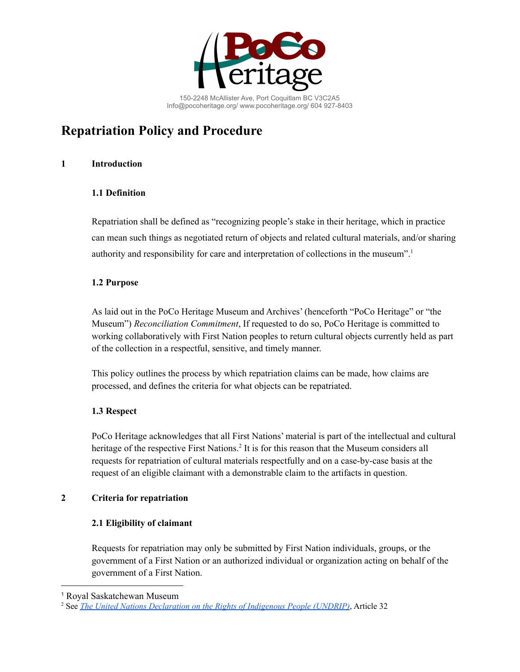

# **Repatriation Policy and Procedure**

# **1 Introduction**

## **1.1 Definition**

Repatriation shall be defined as "recognizing people's stake in their heritage, which in practice can mean such things as negotiated return of objects and related cultural materials, and/or sharing authority and responsibility for care and interpretation of collections in the museum". 1

## **1.2 Purpose**

As laid out in the PoCo Heritage Museum and Archives' (henceforth "PoCo Heritage" or "the Museum") *Reconciliation Commitment*, If requested to do so, PoCo Heritage is committed to working collaboratively with First Nation peoples to return cultural objects currently held as part of the collection in a respectful, sensitive, and timely manner.

This policy outlines the process by which repatriation claims can be made, how claims are processed, and defines the criteria for what objects can be repatriated.

# **1.3 Respect**

PoCo Heritage acknowledges that all First Nations' material is part of the intellectual and cultural heritage of the respective First Nations. 2 It is for this reason that the Museum considers all requests for repatriation of cultural materials respectfully and on a case-by-case basis at the request of an eligible claimant with a demonstrable claim to the artifacts in question.

# **2 Criteria for repatriation**

# **2.1 Eligibility of claimant**

Requests for repatriation may only be submitted by First Nation individuals, groups, or the government of a First Nation or an authorized individual or organization acting on behalf of the government of a First Nation.

<sup>1</sup> Royal Saskatchewan Museum

<sup>2</sup> See *The United Nations [Declaration](https://www.un.org/development/desa/indigenouspeoples/wp-content/uploads/sites/19/2018/11/UNDRIP_E_web.pdf) on the Rights of Indigenous People (UNDRIP)*, Article 32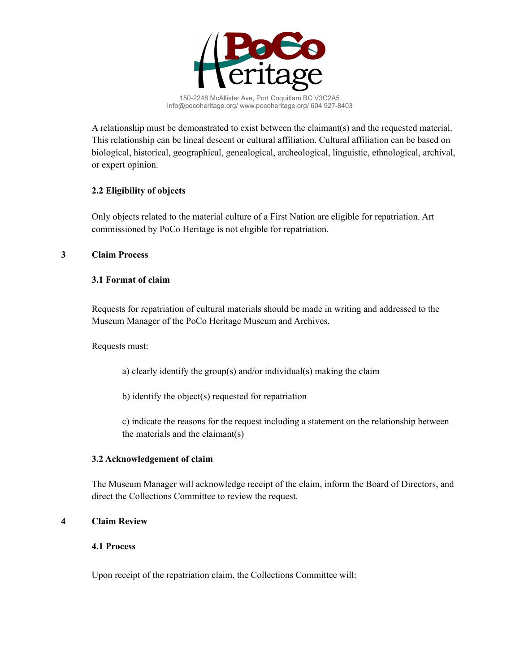

A relationship must be demonstrated to exist between the claimant(s) and the requested material. This relationship can be lineal descent or cultural affiliation. Cultural affiliation can be based on biological, historical, geographical, genealogical, archeological, linguistic, ethnological, archival, or expert opinion.

# **2.2 Eligibility of objects**

Only objects related to the material culture of a First Nation are eligible for repatriation. Art commissioned by PoCo Heritage is not eligible for repatriation.

# **3 Claim Process**

## **3.1 Format of claim**

Requests for repatriation of cultural materials should be made in writing and addressed to the Museum Manager of the PoCo Heritage Museum and Archives.

Requests must:

a) clearly identify the group(s) and/or individual(s) making the claim

b) identify the object(s) requested for repatriation

c) indicate the reasons for the request including a statement on the relationship between the materials and the claimant(s)

# **3.2 Acknowledgement of claim**

The Museum Manager will acknowledge receipt of the claim, inform the Board of Directors, and direct the Collections Committee to review the request.

#### **4 Claim Review**

#### **4.1 Process**

Upon receipt of the repatriation claim, the Collections Committee will: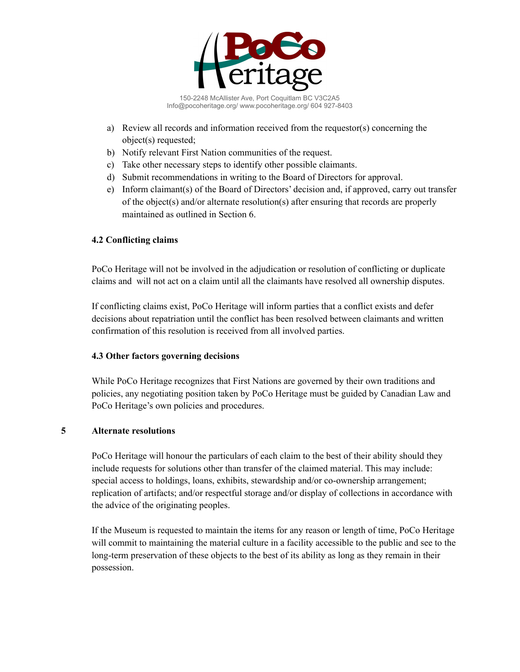

- a) Review all records and information received from the requestor(s) concerning the object(s) requested;
- b) Notify relevant First Nation communities of the request.
- c) Take other necessary steps to identify other possible claimants.
- d) Submit recommendations in writing to the Board of Directors for approval.
- e) Inform claimant(s) of the Board of Directors' decision and, if approved, carry out transfer of the object(s) and/or alternate resolution(s) after ensuring that records are properly maintained as outlined in Section 6.

## **4.2 Conflicting claims**

PoCo Heritage will not be involved in the adjudication or resolution of conflicting or duplicate claims and will not act on a claim until all the claimants have resolved all ownership disputes.

If conflicting claims exist, PoCo Heritage will inform parties that a conflict exists and defer decisions about repatriation until the conflict has been resolved between claimants and written confirmation of this resolution is received from all involved parties.

#### **4.3 Other factors governing decisions**

While PoCo Heritage recognizes that First Nations are governed by their own traditions and policies, any negotiating position taken by PoCo Heritage must be guided by Canadian Law and PoCo Heritage's own policies and procedures.

#### **5 Alternate resolutions**

PoCo Heritage will honour the particulars of each claim to the best of their ability should they include requests for solutions other than transfer of the claimed material. This may include: special access to holdings, loans, exhibits, stewardship and/or co-ownership arrangement; replication of artifacts; and/or respectful storage and/or display of collections in accordance with the advice of the originating peoples.

If the Museum is requested to maintain the items for any reason or length of time, PoCo Heritage will commit to maintaining the material culture in a facility accessible to the public and see to the long-term preservation of these objects to the best of its ability as long as they remain in their possession.